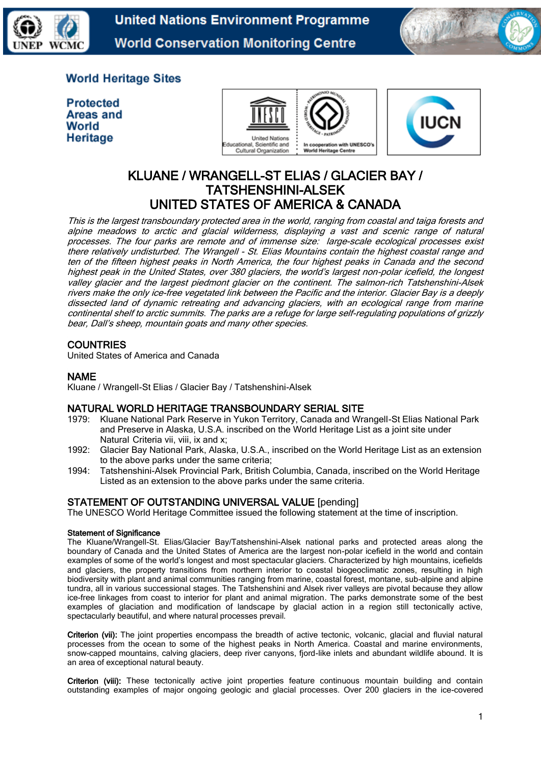

**United Nations Environment Programme World Conservation Monitoring Centre** 



## **World Heritage Sites**

**Protected** Areas and World Heritage





# KLUANE / WRANGELL-ST ELIAS / GLACIER BAY / TATSHENSHINI-ALSEK UNITED STATES OF AMERICA & CANADA

This is the largest transboundary protected area in the world, ranging from coastal and taiga forests and alpine meadows to arctic and glacial wilderness, displaying a vast and scenic range of natural processes. The four parks are remote and of immense size: large-scale ecological processes exist there relatively undisturbed. The Wrangell - St. Elias Mountains contain the highest coastal range and ten of the fifteen highest peaks in North America, the four highest peaks in Canada and the second highest peak in the United States, over 380 glaciers, the world's largest non-polar icefield, the longest valley glacier and the largest piedmont glacier on the continent. The salmon-rich Tatshenshini-Alsek rivers make the only ice-free vegetated link between the Pacific and the interior. Glacier Bay is a deeply dissected land of dynamic retreating and advancing glaciers, with an ecological range from marine continental shelf to arctic summits. The parks are a refuge for large self-regulating populations of grizzly bear, Dall's sheep, mountain goats and many other species.

## **COUNTRIES**

United States of America and Canada

## NAME

Kluane / Wrangell-St Elias / Glacier Bay / Tatshenshini-Alsek

## NATURAL WORLD HERITAGE TRANSBOUNDARY SERIAL SITE

- 1979: Kluane National Park Reserve in Yukon Territory, Canada and Wrangell-St Elias National Park and Preserve in Alaska, U.S.A. inscribed on the World Heritage List as a joint site under Natural Criteria vii, viii, ix and x;
- 1992: Glacier Bay National Park, Alaska, U.S.A., inscribed on the World Heritage List as an extension to the above parks under the same criteria;
- 1994: Tatshenshini-Alsek Provincial Park, British Columbia, Canada, inscribed on the World Heritage Listed as an extension to the above parks under the same criteria.

## STATEMENT OF OUTSTANDING UNIVERSAL VALUE [pending]

The UNESCO World Heritage Committee issued the following statement at the time of inscription.

## Statement of Significance

The Kluane/Wrangell-St. Elias/Glacier Bay/Tatshenshini-Alsek national parks and protected areas along the boundary of Canada and the United States of America are the largest non-polar icefield in the world and contain examples of some of the world's longest and most spectacular glaciers. Characterized by high mountains, icefields and glaciers, the property transitions from northern interior to coastal biogeoclimatic zones, resulting in high biodiversity with plant and animal communities ranging from marine, coastal forest, montane, sub-alpine and alpine tundra, all in various successional stages. The Tatshenshini and Alsek river valleys are pivotal because they allow ice-free linkages from coast to interior for plant and animal migration. The parks demonstrate some of the best examples of glaciation and modification of landscape by glacial action in a region still tectonically active, spectacularly beautiful, and where natural processes prevail.

Criterion (vii): The joint properties encompass the breadth of active tectonic, volcanic, glacial and fluvial natural processes from the ocean to some of the highest peaks in North America. Coastal and marine environments, snow-capped mountains, calving glaciers, deep river canyons, fjord-like inlets and abundant wildlife abound. It is an area of exceptional natural beauty.

Criterion (viii): These tectonically active joint properties feature continuous mountain building and contain outstanding examples of major ongoing geologic and glacial processes. Over 200 glaciers in the ice-covered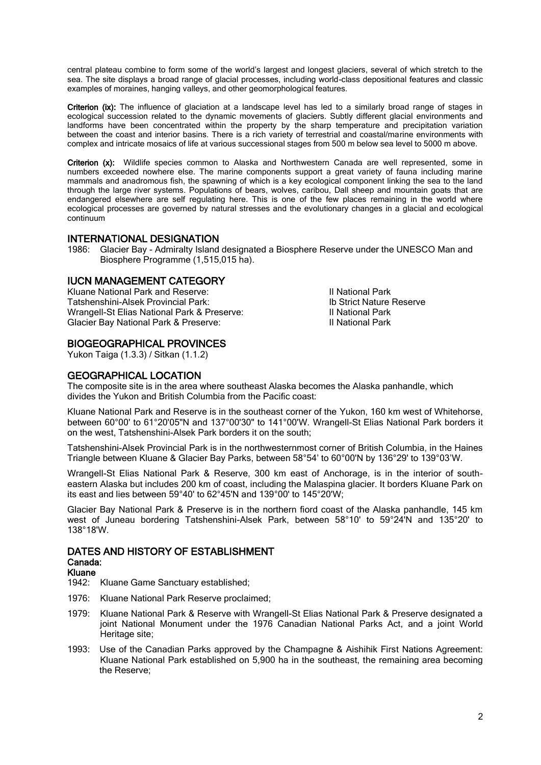central plateau combine to form some of the world's largest and longest glaciers, several of which stretch to the sea. The site displays a broad range of glacial processes, including world-class depositional features and classic examples of moraines, hanging valleys, and other geomorphological features.

Criterion (ix): The influence of glaciation at a landscape level has led to a similarly broad range of stages in ecological succession related to the dynamic movements of glaciers. Subtly different glacial environments and landforms have been concentrated within the property by the sharp temperature and precipitation variation between the coast and interior basins. There is a rich variety of terrestrial and coastal/marine environments with complex and intricate mosaics of life at various successional stages from 500 m below sea level to 5000 m above.

Criterion (x): Wildlife species common to Alaska and Northwestern Canada are well represented, some in numbers exceeded nowhere else. The marine components support a great variety of fauna including marine mammals and anadromous fish, the spawning of which is a key ecological component linking the sea to the land through the large river systems. Populations of bears, wolves, caribou, Dall sheep and mountain goats that are endangered elsewhere are self regulating here. This is one of the few places remaining in the world where ecological processes are governed by natural stresses and the evolutionary changes in a glacial and ecological continuum

## INTERNATIONAL DESIGNATION

1986: Glacier Bay - Admiralty Island designated a Biosphere Reserve under the UNESCO Man and Biosphere Programme (1,515,015 ha).

## IUCN MANAGEMENT CATEGORY

Kluane National Park and Reserve:<br>Tatshenshini-Alsek Provincial Park: International Park II National Park and Tatshenshini-Alsek Provincial Park Tatshenshini-Alsek Provincial Park:<br>
Wrangell-St Flias National Park & Preserve:<br>
II National Park Wrangell-St Elias National Park & Preserve:<br>
Glacier Bay National Park & Preserve:<br>
II National Park II National Park Glacier Bay National Park & Preserve:

## BIOGEOGRAPHICAL PROVINCES

Yukon Taiga (1.3.3) / Sitkan (1.1.2)

## GEOGRAPHICAL LOCATION

The composite site is in the area where southeast Alaska becomes the Alaska panhandle, which divides the Yukon and British Columbia from the Pacific coast:

Kluane National Park and Reserve is in the southeast corner of the Yukon, 160 km west of Whitehorse, between 60°00' to 61°20'05"N and 137°00'30" to 141°00'W. Wrangell-St Elias National Park borders it on the west, Tatshenshini-Alsek Park borders it on the south;

Tatshenshini-Alsek Provincial Park is in the northwesternmost corner of British Columbia, in the Haines Triangle between Kluane & Glacier Bay Parks, between 58°54' to 60°00'N by 136°29' to 139°03'W.

Wrangell-St Elias National Park & Reserve, 300 km east of Anchorage, is in the interior of southeastern Alaska but includes 200 km of coast, including the Malaspina glacier. It borders Kluane Park on its east and lies between 59°40' to 62°45'N and 139°00' to 145°20'W;

Glacier Bay National Park & Preserve is in the northern fiord coast of the Alaska panhandle, 145 km west of Juneau bordering Tatshenshini-Alsek Park, between 58°10' to 59°24'N and 135°20' to 138°18'W.

#### DATES AND HISTORY OF ESTABLISHMENT Canada:

#### Kluane

1942: Kluane Game Sanctuary established;

- 1976: Kluane National Park Reserve proclaimed;
- 1979: Kluane National Park & Reserve with Wrangell-St Elias National Park & Preserve designated a joint National Monument under the 1976 Canadian National Parks Act, and a joint World Heritage site;
- 1993: Use of the Canadian Parks approved by the Champagne & Aishihik First Nations Agreement: Kluane National Park established on 5,900 ha in the southeast, the remaining area becoming the Reserve;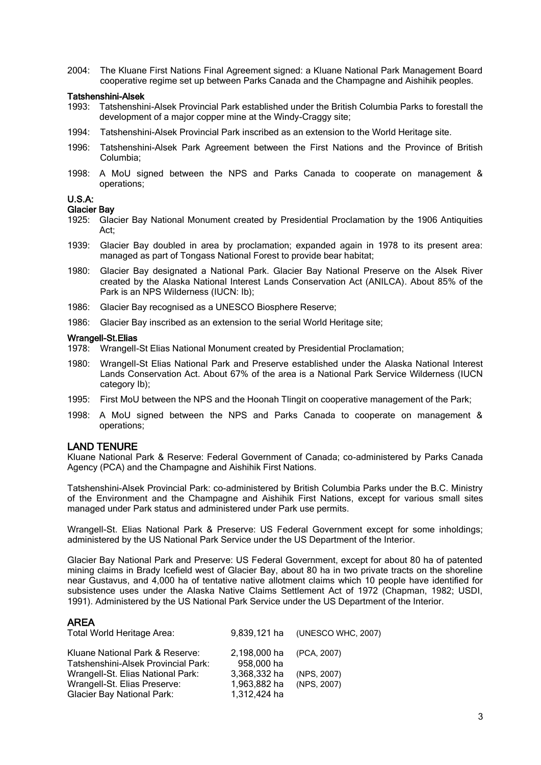2004: The Kluane First Nations Final Agreement signed: a Kluane National Park Management Board cooperative regime set up between Parks Canada and the Champagne and Aishihik peoples.

# Tatshenshini-Alsek<br>1993: Tatshenshir

- Tatshenshini-Alsek Provincial Park established under the British Columbia Parks to forestall the development of a major copper mine at the Windy-Craggy site;
- 1994: Tatshenshini-Alsek Provincial Park inscribed as an extension to the World Heritage site.
- 1996: Tatshenshini-Alsek Park Agreement between the First Nations and the Province of British Columbia;
- 1998: A MoU signed between the NPS and Parks Canada to cooperate on management & operations;

#### U.S.A:

#### Glacier Bay

- 1925: Glacier Bay National Monument created by Presidential Proclamation by the 1906 Antiquities Act;
- 1939: Glacier Bay doubled in area by proclamation; expanded again in 1978 to its present area: managed as part of Tongass National Forest to provide bear habitat;
- 1980: Glacier Bay designated a National Park. Glacier Bay National Preserve on the Alsek River created by the Alaska National Interest Lands Conservation Act (ANILCA). About 85% of the Park is an NPS Wilderness (IUCN: Ib);
- 1986: Glacier Bay recognised as a UNESCO Biosphere Reserve;
- 1986: Glacier Bay inscribed as an extension to the serial World Heritage site;

#### Wrangell-St.Elias

- 1978: Wrangell-St Elias National Monument created by Presidential Proclamation;
- 1980: Wrangell-St Elias National Park and Preserve established under the Alaska National Interest Lands Conservation Act. About 67% of the area is a National Park Service Wilderness (IUCN category Ib);
- 1995: First MoU between the NPS and the Hoonah Tlingit on cooperative management of the Park;
- 1998: A MoU signed between the NPS and Parks Canada to cooperate on management & operations;

#### LAND TENURE

Kluane National Park & Reserve: Federal Government of Canada; co-administered by Parks Canada Agency (PCA) and the Champagne and Aishihik First Nations.

Tatshenshini-Alsek Provincial Park: co-administered by British Columbia Parks under the B.C. Ministry of the Environment and the Champagne and Aishihik First Nations, except for various small sites managed under Park status and administered under Park use permits.

Wrangell-St. Elias National Park & Preserve: US Federal Government except for some inholdings; administered by the US National Park Service under the US Department of the Interior.

Glacier Bay National Park and Preserve: US Federal Government, except for about 80 ha of patented mining claims in Brady Icefield west of Glacier Bay, about 80 ha in two private tracts on the shoreline near Gustavus, and 4,000 ha of tentative native allotment claims which 10 people have identified for subsistence uses under the Alaska Native Claims Settlement Act of 1972 (Chapman, 1982; USDI, 1991). Administered by the US National Park Service under the US Department of the Interior.

#### AREA

| Total World Heritage Area:          |              | 9,839,121 ha (UNESCO WHC, 2007) |
|-------------------------------------|--------------|---------------------------------|
| Kluane National Park & Reserve:     | 2.198.000 ha | (PCA, 2007)                     |
| Tatshenshini-Alsek Provincial Park: | 958,000 ha   |                                 |
| Wrangell-St. Elias National Park:   | 3,368,332 ha | (NPS, 2007)                     |
| Wrangell-St. Elias Preserve:        | 1,963,882 ha | (NPS, 2007)                     |
| <b>Glacier Bay National Park:</b>   | 1,312,424 ha |                                 |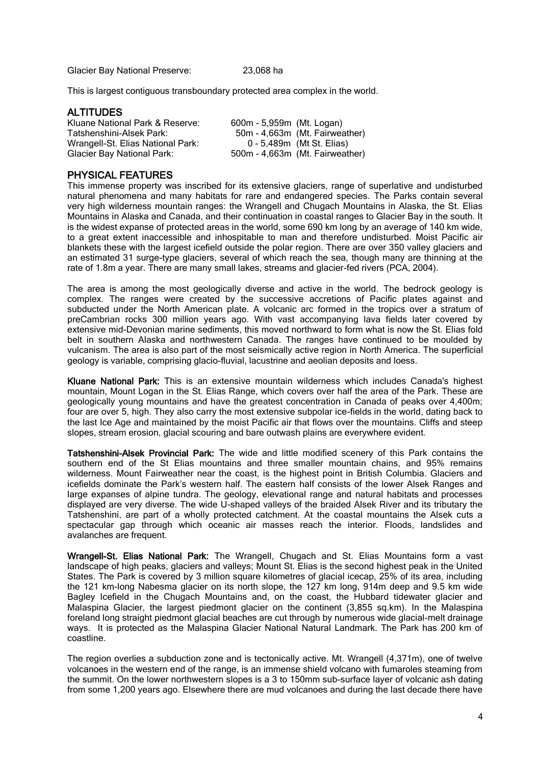Glacier Bay National Preserve: 23,068 ha

This is largest contiguous transboundary protected area complex in the world.

#### ALTITUDES

Kluane National Park & Reserve: 600m - 5,959m (Mt. Logan)<br>Tatshenshini-Alsek Park: 50m - 4.663m (Mt. Fairwea Wrangell-St. Elias National Park:<br>Glacier Bay National Park:

50m - 4,663m (Mt. Fairweather)<br>0 - 5,489m (Mt St. Elias)  $500m - 4,663m$  (Mt. Fairweather)

## PHYSICAL FEATURES

This immense property was inscribed for its extensive glaciers, range of superlative and undisturbed natural phenomena and many habitats for rare and endangered species. The Parks contain several very high wilderness mountain ranges: the Wrangell and Chugach Mountains in Alaska, the St. Elias Mountains in Alaska and Canada, and their continuation in coastal ranges to Glacier Bay in the south. It is the widest expanse of protected areas in the world, some 690 km long by an average of 140 km wide, to a great extent inaccessible and inhospitable to man and therefore undisturbed. Moist Pacific air blankets these with the largest icefield outside the polar region. There are over 350 valley glaciers and an estimated 31 surge-type glaciers, several of which reach the sea, though many are thinning at the rate of 1.8m a year. There are many small lakes, streams and glacier-fed rivers (PCA, 2004).

The area is among the most geologically diverse and active in the world. The bedrock geology is complex. The ranges were created by the successive accretions of Pacific plates against and subducted under the North American plate. A volcanic arc formed in the tropics over a stratum of preCambrian rocks 300 million years ago. With vast accompanying lava fields later covered by extensive mid-Devonian marine sediments, this moved northward to form what is now the St. Elias fold belt in southern Alaska and northwestern Canada. The ranges have continued to be moulded by vulcanism. The area is also part of the most seismically active region in North America. The superficial geology is variable, comprising glacio-fluvial, lacustrine and aeolian deposits and loess.

Kluane National Park: This is an extensive mountain wilderness which includes Canada's highest mountain, Mount Logan in the St. Elias Range, which covers over half the area of the Park. These are geologically young mountains and have the greatest concentration in Canada of peaks over 4,400m; four are over 5, high. They also carry the most extensive subpolar ice-fields in the world, dating back to the last Ice Age and maintained by the moist Pacific air that flows over the mountains. Cliffs and steep slopes, stream erosion, glacial scouring and bare outwash plains are everywhere evident.

Tatshenshini-Alsek Provincial Park: The wide and little modified scenery of this Park contains the southern end of the St Elias mountains and three smaller mountain chains, and 95% remains wilderness. Mount Fairweather near the coast, is the highest point in British Columbia. Glaciers and icefields dominate the Park's western half. The eastern half consists of the lower Alsek Ranges and large expanses of alpine tundra. The geology, elevational range and natural habitats and processes displayed are very diverse. The wide U-shaped valleys of the braided Alsek River and its tributary the Tatshenshini, are part of a wholly protected catchment. At the coastal mountains the Alsek cuts a spectacular gap through which oceanic air masses reach the interior. Floods, landslides and avalanches are frequent.

Wrangell-St. Elias National Park: The Wrangell, Chugach and St. Elias Mountains form a vast landscape of high peaks, glaciers and valleys; Mount St. Elias is the second highest peak in the United States. The Park is covered by 3 million square kilometres of glacial icecap, 25% of its area, including the 121 km-long Nabesma glacier on its north slope, the 127 km long, 914m deep and 9.5 km wide Bagley Icefield in the Chugach Mountains and, on the coast, the Hubbard tidewater glacier and Malaspina Glacier, the largest piedmont glacier on the continent (3,855 sq.km). In the Malaspina foreland long straight piedmont glacial beaches are cut through by numerous wide glacial-melt drainage ways. It is protected as the Malaspina Glacier National Natural Landmark. The Park has 200 km of coastline.

The region overlies a subduction zone and is tectonically active. Mt. Wrangell (4,371m), one of twelve volcanoes in the western end of the range, is an immense shield volcano with fumaroles steaming from the summit. On the lower northwestern slopes is a 3 to 150mm sub-surface layer of volcanic ash dating from some 1,200 years ago. Elsewhere there are mud volcanoes and during the last decade there have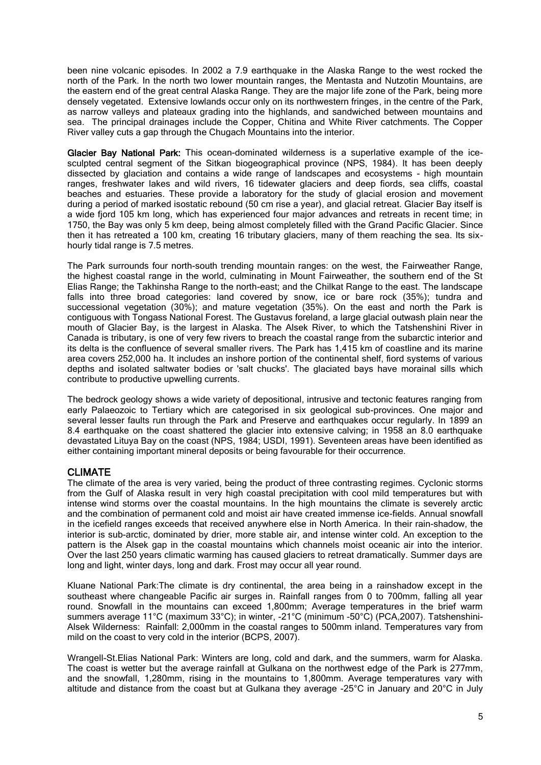been nine volcanic episodes. In 2002 a 7.9 earthquake in the Alaska Range to the west rocked the north of the Park. In the north two lower mountain ranges, the Mentasta and Nutzotin Mountains, are the eastern end of the great central Alaska Range. They are the major life zone of the Park, being more densely vegetated. Extensive lowlands occur only on its northwestern fringes, in the centre of the Park, as narrow valleys and plateaux grading into the highlands, and sandwiched between mountains and sea. The principal drainages include the Copper, Chitina and White River catchments. The Copper River valley cuts a gap through the Chugach Mountains into the interior.

Glacier Bay National Park: This ocean-dominated wilderness is a superlative example of the icesculpted central segment of the Sitkan biogeographical province (NPS, 1984). It has been deeply dissected by glaciation and contains a wide range of landscapes and ecosystems - high mountain ranges, freshwater lakes and wild rivers, 16 tidewater glaciers and deep fiords, sea cliffs, coastal beaches and estuaries. These provide a laboratory for the study of glacial erosion and movement during a period of marked isostatic rebound (50 cm rise a year), and glacial retreat. Glacier Bay itself is a wide fjord 105 km long, which has experienced four major advances and retreats in recent time; in 1750, the Bay was only 5 km deep, being almost completely filled with the Grand Pacific Glacier. Since then it has retreated a 100 km, creating 16 tributary glaciers, many of them reaching the sea. Its sixhourly tidal range is 7.5 metres.

The Park surrounds four north-south trending mountain ranges: on the west, the Fairweather Range, the highest coastal range in the world, culminating in Mount Fairweather, the southern end of the St Elias Range; the Takhinsha Range to the north-east; and the Chilkat Range to the east. The landscape falls into three broad categories: land covered by snow, ice or bare rock (35%); tundra and successional vegetation (30%); and mature vegetation (35%). On the east and north the Park is contiguous with Tongass National Forest. The Gustavus foreland, a large glacial outwash plain near the mouth of Glacier Bay, is the largest in Alaska. The Alsek River, to which the Tatshenshini River in Canada is tributary, is one of very few rivers to breach the coastal range from the subarctic interior and its delta is the confluence of several smaller rivers. The Park has 1,415 km of coastline and its marine area covers 252,000 ha. It includes an inshore portion of the continental shelf, fiord systems of various depths and isolated saltwater bodies or 'salt chucks'. The glaciated bays have morainal sills which contribute to productive upwelling currents.

The bedrock geology shows a wide variety of depositional, intrusive and tectonic features ranging from early Palaeozoic to Tertiary which are categorised in six geological sub-provinces. One major and several lesser faults run through the Park and Preserve and earthquakes occur regularly. In 1899 an 8.4 earthquake on the coast shattered the glacier into extensive calving; in 1958 an 8.0 earthquake devastated Lituya Bay on the coast (NPS, 1984; USDI, 1991). Seventeen areas have been identified as either containing important mineral deposits or being favourable for their occurrence.

## CLIMATE

The climate of the area is very varied, being the product of three contrasting regimes. Cyclonic storms from the Gulf of Alaska result in very high coastal precipitation with cool mild temperatures but with intense wind storms over the coastal mountains. In the high mountains the climate is severely arctic and the combination of permanent cold and moist air have created immense ice-fields. Annual snowfall in the icefield ranges exceeds that received anywhere else in North America. In their rain-shadow, the interior is sub-arctic, dominated by drier, more stable air, and intense winter cold. An exception to the pattern is the Alsek gap in the coastal mountains which channels moist oceanic air into the interior. Over the last 250 years climatic warming has caused glaciers to retreat dramatically. Summer days are long and light, winter days, long and dark. Frost may occur all year round.

Kluane National Park:The climate is dry continental, the area being in a rainshadow except in the southeast where changeable Pacific air surges in. Rainfall ranges from 0 to 700mm, falling all year round. Snowfall in the mountains can exceed 1,800mm; Average temperatures in the brief warm summers average 11°C (maximum 33°C); in winter, -21°C (minimum -50°C) (PCA,2007). Tatshenshini-Alsek Wilderness: Rainfall: 2,000mm in the coastal ranges to 500mm inland. Temperatures vary from mild on the coast to very cold in the interior (BCPS, 2007).

Wrangell-St.Elias National Park: Winters are long, cold and dark, and the summers, warm for Alaska. The coast is wetter but the average rainfall at Gulkana on the northwest edge of the Park is 277mm, and the snowfall, 1,280mm, rising in the mountains to 1,800mm. Average temperatures vary with altitude and distance from the coast but at Gulkana they average -25°C in January and 20°C in July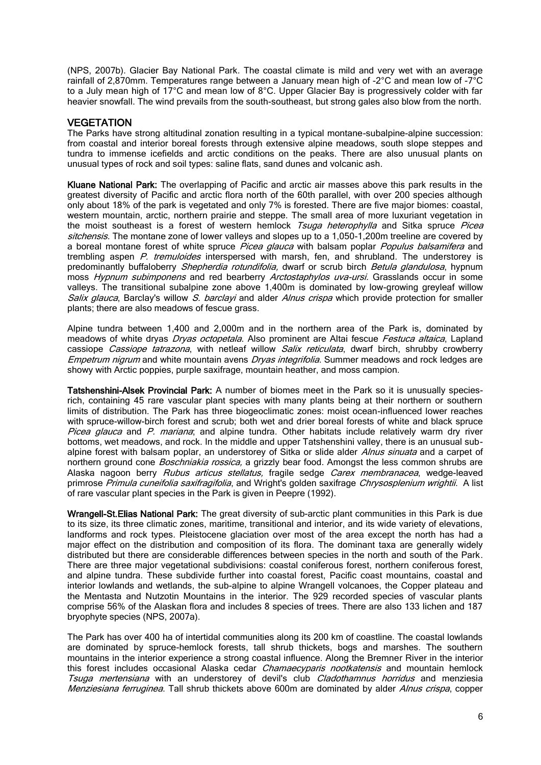(NPS, 2007b). Glacier Bay National Park. The coastal climate is mild and very wet with an average rainfall of 2,870mm. Temperatures range between a January mean high of -2°C and mean low of -7°C to a July mean high of 17°C and mean low of 8°C. Upper Glacier Bay is progressively colder with far heavier snowfall. The wind prevails from the south-southeast, but strong gales also blow from the north.

## **VEGETATION**

The Parks have strong altitudinal zonation resulting in a typical montane-subalpine-alpine succession: from coastal and interior boreal forests through extensive alpine meadows, south slope steppes and tundra to immense icefields and arctic conditions on the peaks. There are also unusual plants on unusual types of rock and soil types: saline flats, sand dunes and volcanic ash.

Kluane National Park: The overlapping of Pacific and arctic air masses above this park results in the greatest diversity of Pacific and arctic flora north of the 60th parallel, with over 200 species although only about 18% of the park is vegetated and only 7% is forested. There are five major biomes: coastal, western mountain, arctic, northern prairie and steppe. The small area of more luxuriant vegetation in the moist southeast is a forest of western hemlock Tsuga heterophylla and Sitka spruce Picea sitchensis. The montane zone of lower valleys and slopes up to a 1,050-1,200m treeline are covered by a boreal montane forest of white spruce Picea glauca with balsam poplar Populus balsamifera and trembling aspen P. tremuloides interspersed with marsh, fen, and shrubland. The understorey is predominantly buffaloberry Shepherdia rotundifolia, dwarf or scrub birch Betula glandulosa, hypnum moss Hypnum subimponens and red bearberry Arctostaphylos uva-ursi. Grasslands occur in some valleys. The transitional subalpine zone above 1,400m is dominated by low-growing greyleaf willow Salix glauca, Barclay's willow S. barclayi and alder Alnus crispa which provide protection for smaller plants; there are also meadows of fescue grass.

Alpine tundra between 1,400 and 2,000m and in the northern area of the Park is, dominated by meadows of white dryas *Dryas octopetala*. Also prominent are Altai fescue *Festuca altaica*, Lapland cassiope *Cassiope tatrazona*, with netleaf willow *Salix reticulata*, dwarf birch, shrubby crowberry Empetrum nigrum and white mountain avens Dryas integrifolia. Summer meadows and rock ledges are showy with Arctic poppies, purple saxifrage, mountain heather, and moss campion.

Tatshenshini-Alsek Provincial Park: A number of biomes meet in the Park so it is unusually speciesrich, containing 45 rare vascular plant species with many plants being at their northern or southern limits of distribution. The Park has three biogeoclimatic zones: moist ocean-influenced lower reaches with spruce-willow-birch forest and scrub; both wet and drier boreal forests of white and black spruce Picea glauca and P. mariana; and alpine tundra. Other habitats include relatively warm dry river bottoms, wet meadows, and rock. In the middle and upper Tatshenshini valley, there is an unusual subalpine forest with balsam poplar, an understorey of Sitka or slide alder Alnus sinuata and a carpet of northern ground cone *Boschniakia rossica*, a grizzly bear food. Amongst the less common shrubs are Alaska nagoon berry Rubus articus stellatus, fragile sedge Carex membranacea, wedge-leaved primrose Primula cuneifolia saxifragifolia, and Wright's golden saxifrage Chrysosplenium wrightii. A list of rare vascular plant species in the Park is given in Peepre (1992).

Wrangell-St. Elias National Park: The great diversity of sub-arctic plant communities in this Park is due to its size, its three climatic zones, maritime, transitional and interior, and its wide variety of elevations, landforms and rock types. Pleistocene glaciation over most of the area except the north has had a major effect on the distribution and composition of its flora. The dominant taxa are generally widely distributed but there are considerable differences between species in the north and south of the Park. There are three major vegetational subdivisions: coastal coniferous forest, northern coniferous forest, and alpine tundra. These subdivide further into coastal forest, Pacific coast mountains, coastal and interior lowlands and wetlands, the sub-alpine to alpine Wrangell volcanoes, the Copper plateau and the Mentasta and Nutzotin Mountains in the interior. The 929 recorded species of vascular plants comprise 56% of the Alaskan flora and includes 8 species of trees. There are also 133 lichen and 187 bryophyte species (NPS, 2007a).

The Park has over 400 ha of intertidal communities along its 200 km of coastline. The coastal lowlands are dominated by spruce-hemlock forests, tall shrub thickets, bogs and marshes. The southern mountains in the interior experience a strong coastal influence. Along the Bremner River in the interior this forest includes occasional Alaska cedar *Chamaecyparis nootkatensis* and mountain hemlock Tsuga mertensiana with an understorey of devil's club Cladothamnus horridus and menziesia Menziesiana ferruginea. Tall shrub thickets above 600m are dominated by alder Alnus crispa, copper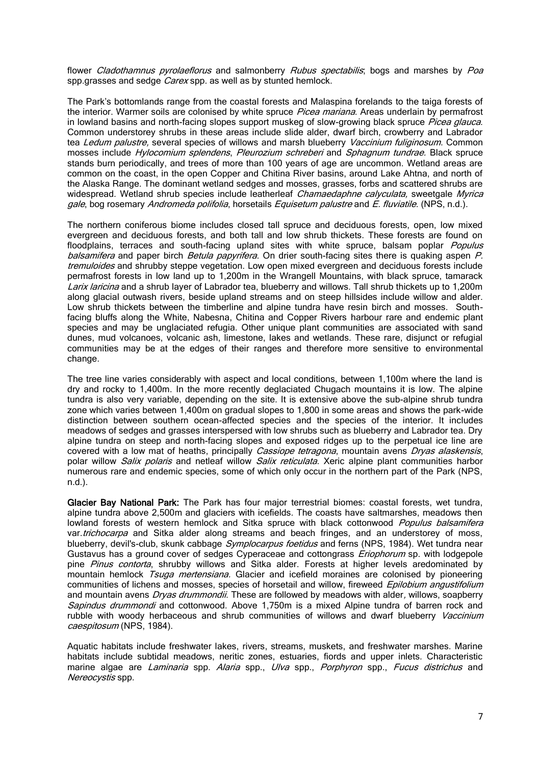flower Cladothamnus pyrolaeflorus and salmonberry Rubus spectabilis; bogs and marshes by Poa spp.grasses and sedge *Carex* spp. as well as by stunted hemlock.

The Park's bottomlands range from the coastal forests and Malaspina forelands to the taiga forests of the interior. Warmer soils are colonised by white spruce *Picea mariana*. Areas underlain by permafrost in lowland basins and north-facing slopes support muskeg of slow-growing black spruce Picea glauca. Common understorey shrubs in these areas include slide alder, dwarf birch, crowberry and Labrador tea Ledum palustre, several species of willows and marsh blueberry Vaccinium fuliginosum. Common mosses include Hylocomium splendens, Pleurozium schreberi and Sphagnum tundrae. Black spruce stands burn periodically, and trees of more than 100 years of age are uncommon. Wetland areas are common on the coast, in the open Copper and Chitina River basins, around Lake Ahtna, and north of the Alaska Range. The dominant wetland sedges and mosses, grasses, forbs and scattered shrubs are widespread. Wetland shrub species include leatherleaf Chamaedaphne calyculata, sweetgale Myrica gale, bog rosemary Andromeda polifolia, horsetails Equisetum palustre and E. fluviatile. (NPS, n.d.).

The northern coniferous biome includes closed tall spruce and deciduous forests, open, low mixed evergreen and deciduous forests, and both tall and low shrub thickets. These forests are found on floodplains, terraces and south-facing upland sites with white spruce, balsam poplar Populus balsamifera and paper birch Betula papyrifera. On drier south-facing sites there is quaking aspen P. tremuloides and shrubby steppe vegetation. Low open mixed evergreen and deciduous forests include permafrost forests in low land up to 1,200m in the Wrangell Mountains, with black spruce, tamarack Larix laricina and a shrub layer of Labrador tea, blueberry and willows. Tall shrub thickets up to 1,200m along glacial outwash rivers, beside upland streams and on steep hillsides include willow and alder. Low shrub thickets between the timberline and alpine tundra have resin birch and mosses. Southfacing bluffs along the White, Nabesna, Chitina and Copper Rivers harbour rare and endemic plant species and may be unglaciated refugia. Other unique plant communities are associated with sand dunes, mud volcanoes, volcanic ash, limestone, lakes and wetlands. These rare, disjunct or refugial communities may be at the edges of their ranges and therefore more sensitive to environmental change.

The tree line varies considerably with aspect and local conditions, between 1,100m where the land is dry and rocky to 1,400m. In the more recently deglaciated Chugach mountains it is low. The alpine tundra is also very variable, depending on the site. It is extensive above the sub-alpine shrub tundra zone which varies between 1,400m on gradual slopes to 1,800 in some areas and shows the park-wide distinction between southern ocean-affected species and the species of the interior. It includes meadows of sedges and grasses interspersed with low shrubs such as blueberry and Labrador tea. Dry alpine tundra on steep and north-facing slopes and exposed ridges up to the perpetual ice line are covered with a low mat of heaths, principally Cassiope tetragona, mountain avens Dryas alaskensis, polar willow *Salix polaris* and netleaf willow *Salix reticulata*. Xeric alpine plant communities harbor numerous rare and endemic species, some of which only occur in the northern part of the Park (NPS, n.d.).

Glacier Bay National Park: The Park has four major terrestrial biomes: coastal forests, wet tundra, alpine tundra above 2,500m and glaciers with icefields. The coasts have saltmarshes, meadows then lowland forests of western hemlock and Sitka spruce with black cottonwood Populus balsamifera var.trichocarpa and Sitka alder along streams and beach fringes, and an understorey of moss, blueberry, devil's-club, skunk cabbage *Symplocarpus foetidus* and ferns (NPS, 1984). Wet tundra near Gustavus has a ground cover of sedges Cyperaceae and cottongrass Eriophorum sp. with lodgepole pine Pinus contorta, shrubby willows and Sitka alder. Forests at higher levels aredominated by mountain hemlock Tsuga mertensiana. Glacier and icefield moraines are colonised by pioneering communities of lichens and mosses, species of horsetail and willow, fireweed Epilobium angustifolium and mountain avens *Dryas drummondii*. These are followed by meadows with alder, willows, soapberry Sapindus drummondi and cottonwood. Above 1,750m is a mixed Alpine tundra of barren rock and rubble with woody herbaceous and shrub communities of willows and dwarf blueberry Vaccinium caespitosum (NPS, 1984).

Aquatic habitats include freshwater lakes, rivers, streams, muskets, and freshwater marshes. Marine habitats include subtidal meadows, neritic zones, estuaries, fiords and upper inlets. Characteristic marine algae are Laminaria spp. Alaria spp., Ulva spp., Porphyron spp., Fucus districhus and Nereocystis spp.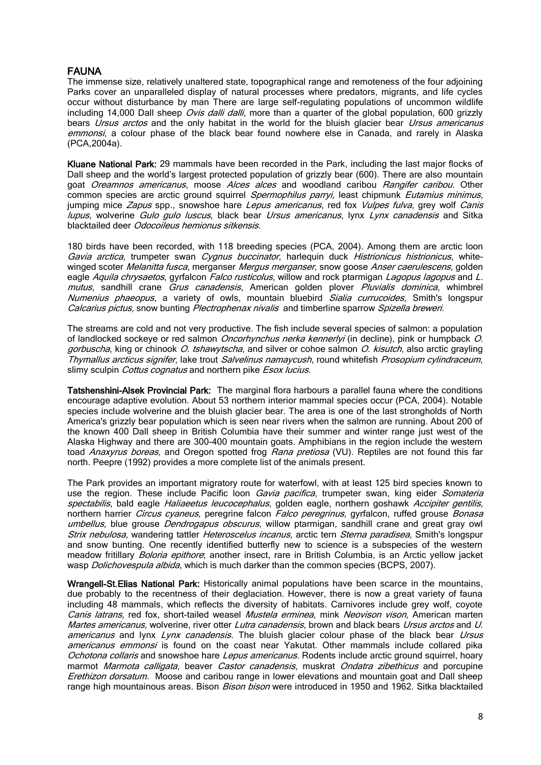## FAUNA

The immense size, relatively unaltered state, topographical range and remoteness of the four adjoining Parks cover an unparalleled display of natural processes where predators, migrants, and life cycles occur without disturbance by man There are large self-regulating populations of uncommon wildlife including 14,000 Dall sheep Ovis dalli dalli, more than a quarter of the global population, 600 grizzly bears Ursus arctos and the only habitat in the world for the bluish glacier bear Ursus americanus emmonsi, a colour phase of the black bear found nowhere else in Canada, and rarely in Alaska (PCA,2004a).

Kluane National Park: 29 mammals have been recorded in the Park, including the last major flocks of Dall sheep and the world's largest protected population of grizzly bear (600). There are also mountain goat Oreamnos americanus, moose Alces alces and woodland caribou Rangifer caribou. Other common species are arctic ground squirrel *Spermophilus parryi*, least chipmunk Eutamius minimus, jumping mice Zapus spp., snowshoe hare Lepus americanus, red fox Vulpes fulva, grey wolf Canis lupus, wolverine Gulo gulo luscus, black bear Ursus americanus, lynx Lynx canadensis and Sitka blacktailed deer Odocoileus hemionus sitkensis.

180 birds have been recorded, with 118 breeding species (PCA, 2004). Among them are arctic loon Gavia arctica, trumpeter swan Cygnus buccinator, harlequin duck Histrionicus histrionicus, whitewinged scoter *Melanitta fusca*, merganser *Mergus merganser*, snow goose Anser caerulescens, golden eagle Aquila chrysaetos, gyrfalcon Falco rusticolus, willow and rock ptarmigan Lagopus lagopus and L. mutus, sandhill crane Grus canadensis, American golden plover Pluvialis dominica, whimbrel Numenius phaeopus, a variety of owls, mountain bluebird Sialia currucoides, Smith's longspur Calcarius pictus, snow bunting Plectrophenax nivalis and timberline sparrow Spizella breweri.

The streams are cold and not very productive. The fish include several species of salmon: a population of landlocked sockeye or red salmon *Oncorhynchus nerka kennerlyi* (in decline), pink or humpback O. gorbuscha, king or chinook O. tshawytscha, and silver or cohoe salmon O. kisutch, also arctic grayling Thymallus arcticus signifer, lake trout Salvelinus namaycush, round whitefish Prosopium cylindraceum, slimy sculpin Cottus cognatus and northern pike Esox lucius.

Tatshenshini-Alsek Provincial Park: The marginal flora harbours a parallel fauna where the conditions encourage adaptive evolution. About 53 northern interior mammal species occur (PCA, 2004). Notable species include wolverine and the bluish glacier bear. The area is one of the last strongholds of North America's grizzly bear population which is seen near rivers when the salmon are running. About 200 of the known 400 Dall sheep in British Columbia have their summer and winter range just west of the Alaska Highway and there are 300-400 mountain goats. Amphibians in the region include the western toad Anaxyrus boreas, and Oregon spotted frog Rana pretiosa (VU). Reptiles are not found this far north. Peepre (1992) provides a more complete list of the animals present.

The Park provides an important migratory route for waterfowl, with at least 125 bird species known to use the region. These include Pacific loon *Gavia pacifica*, trumpeter swan, king eider *Somateria* spectabilis, bald eagle Haliaeetus leucocephalus, golden eagle, northern goshawk Accipiter gentilis, northern harrier *Circus cyaneus*, peregrine falcon *Falco peregrinus*, gyrfalcon, ruffed grouse *Bonasa* umbellus, blue grouse Dendrogapus obscurus, willow ptarmigan, sandhill crane and great gray owl Strix nebulosa, wandering tattler Heteroscelus incanus, arctic tern Sterna paradisea, Smith's longspur and snow bunting. One recently identified butterfly new to science is a subspecies of the western meadow fritillary *Boloria epithore*; another insect, rare in British Columbia, is an Arctic yellow jacket wasp *Dolichovespula albida*, which is much darker than the common species (BCPS, 2007).

Wrangell-St. Elias National Park: Historically animal populations have been scarce in the mountains, due probably to the recentness of their deglaciation. However, there is now a great variety of fauna including 48 mammals, which reflects the diversity of habitats. Carnivores include grey wolf, coyote Canis latrans, red fox, short-tailed weasel Mustela erminea, mink Neovison vison, American marten Martes americanus, wolverine, river otter Lutra canadensis, brown and black bears Ursus arctos and U. americanus and lynx Lynx canadensis. The bluish glacier colour phase of the black bear Ursus americanus emmonsi is found on the coast near Yakutat. Other mammals include collared pika Ochotona collaris and snowshoe hare Lepus americanus. Rodents include arctic ground squirrel, hoary marmot *Marmota calligata*, beaver *Castor canadensis*, muskrat *Ondatra zibethicus* and porcupine Erethizon dorsatum. Moose and caribou range in lower elevations and mountain goat and Dall sheep range high mountainous areas. Bison Bison bison were introduced in 1950 and 1962. Sitka blacktailed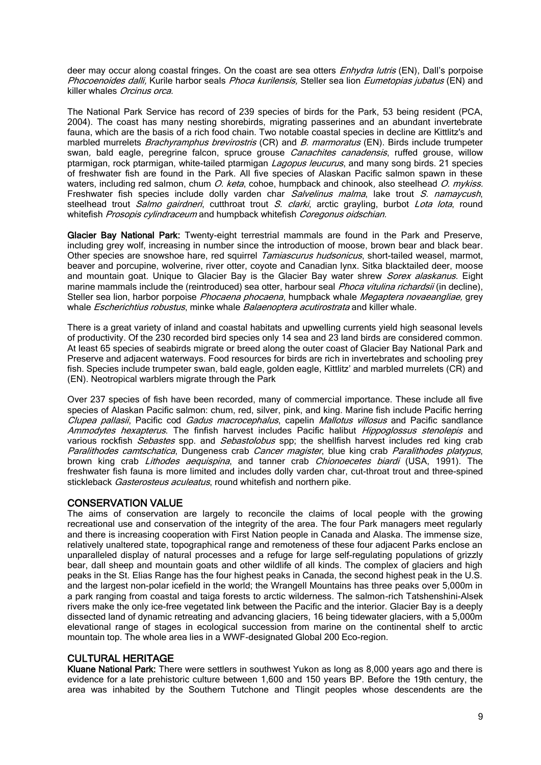deer may occur along coastal fringes. On the coast are sea otters *Enhydra lutris* (EN), Dall's porpoise Phocoenoides dalli, Kurile harbor seals Phoca kurilensis, Steller sea lion Eumetopias jubatus (EN) and killer whales Orcinus orca.

The National Park Service has record of 239 species of birds for the Park, 53 being resident (PCA, 2004). The coast has many nesting shorebirds, migrating passerines and an abundant invertebrate fauna, which are the basis of a rich food chain. Two notable coastal species in decline are Kittlitz's and marbled murrelets *Brachyramphus brevirostris* (CR) and *B. marmoratus* (EN). Birds include trumpeter swan, bald eagle, peregrine falcon, spruce grouse *Canachites canadensis*, ruffed grouse, willow ptarmigan, rock ptarmigan, white-tailed ptarmigan *Lagopus leucurus*, and many song birds. 21 species of freshwater fish are found in the Park. All five species of Alaskan Pacific salmon spawn in these waters, including red salmon, chum  $O$ . keta, cohoe, humpback and chinook, also steelhead  $O$ . mykiss. Freshwater fish species include dolly varden char Salvelinus malma, lake trout S. namaycush, steelhead trout Salmo gairdneri, cutthroat trout S. clarki, arctic grayling, burbot Lota lota, round whitefish Prosopis cylindraceum and humpback whitefish Coregonus oidschian.

Glacier Bay National Park: Twenty-eight terrestrial mammals are found in the Park and Preserve, including grey wolf, increasing in number since the introduction of moose, brown bear and black bear. Other species are snowshoe hare, red squirrel Tamiascurus hudsonicus, short-tailed weasel, marmot, beaver and porcupine, wolverine, river otter, coyote and Canadian lynx. Sitka blacktailed deer, moose and mountain goat. Unique to Glacier Bay is the Glacier Bay water shrew Sorex alaskanus. Eight marine mammals include the (reintroduced) sea otter, harbour seal *Phoca vitulina richardsii* (in decline), Steller sea lion, harbor porpoise Phocaena phocaena, humpback whale Megaptera novaeangliae, grey whale *Escherichtius robustus*, minke whale *Balaenoptera acutirostrata* and killer whale.

There is a great variety of inland and coastal habitats and upwelling currents yield high seasonal levels of productivity. Of the 230 recorded bird species only 14 sea and 23 land birds are considered common. At least 65 species of seabirds migrate or breed along the outer coast of Glacier Bay National Park and Preserve and adjacent waterways. Food resources for birds are rich in invertebrates and schooling prey fish. Species include trumpeter swan, bald eagle, golden eagle, Kittlitz' and marbled murrelets (CR) and (EN). Neotropical warblers migrate through the Park

Over 237 species of fish have been recorded, many of commercial importance. These include all five species of Alaskan Pacific salmon: chum, red, silver, pink, and king. Marine fish include Pacific herring Clupea pallasii, Pacific cod Gadus macrocephalus, capelin Mallotus villosus and Pacific sandlance Ammodytes hexapterus. The finfish harvest includes Pacific halibut *Hippoglossus stenolepis* and various rockfish Sebastes spp. and Sebastolobus spp; the shellfish harvest includes red king crab Paralithodes camtschatica, Dungeness crab Cancer magister, blue king crab Paralithodes platypus, brown king crab *Lithodes aequispina*, and tanner crab *Chionoecetes biardi* (USA, 1991). The freshwater fish fauna is more limited and includes dolly varden char, cut-throat trout and three-spined stickleback Gasterosteus aculeatus, round whitefish and northern pike.

## CONSERVATION VALUE

The aims of conservation are largely to reconcile the claims of local people with the growing recreational use and conservation of the integrity of the area. The four Park managers meet regularly and there is increasing cooperation with First Nation people in Canada and Alaska. The immense size, relatively unaltered state, topographical range and remoteness of these four adjacent Parks enclose an unparalleled display of natural processes and a refuge for large self-regulating populations of grizzly bear, dall sheep and mountain goats and other wildlife of all kinds. The complex of glaciers and high peaks in the St. Elias Range has the four highest peaks in Canada, the second highest peak in the U.S. and the largest non-polar icefield in the world; the Wrangell Mountains has three peaks over 5,000m in a park ranging from coastal and taiga forests to arctic wilderness. The salmon-rich Tatshenshini-Alsek rivers make the only ice-free vegetated link between the Pacific and the interior. Glacier Bay is a deeply dissected land of dynamic retreating and advancing glaciers, 16 being tidewater glaciers, with a 5,000m elevational range of stages in ecological succession from marine on the continental shelf to arctic mountain top. The whole area lies in a WWF-designated Global 200 Eco-region.

## CULTURAL HERITAGE

Kluane National Park: There were settlers in southwest Yukon as long as 8,000 years ago and there is evidence for a late prehistoric culture between 1,600 and 150 years BP. Before the 19th century, the area was inhabited by the Southern Tutchone and Tlingit peoples whose descendents are the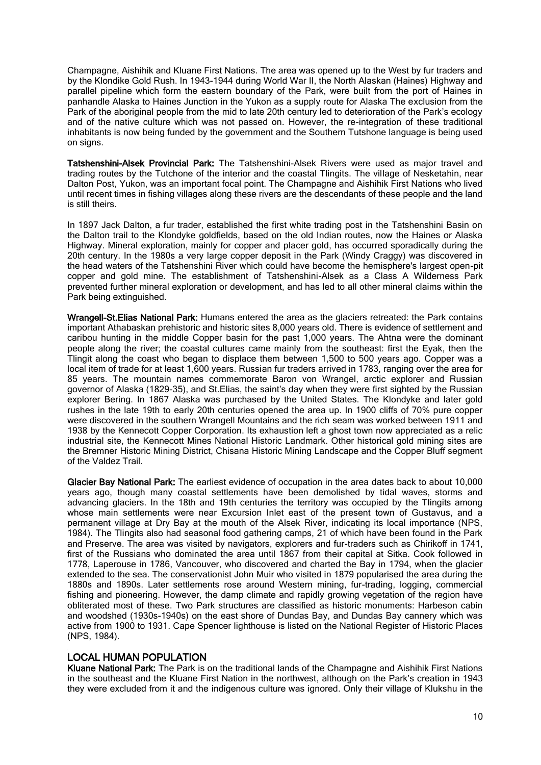Champagne, Aishihik and Kluane First Nations. The area was opened up to the West by fur traders and by the Klondike Gold Rush. In 1943-1944 during World War II, the North Alaskan (Haines) Highway and parallel pipeline which form the eastern boundary of the Park, were built from the port of Haines in panhandle Alaska to Haines Junction in the Yukon as a supply route for Alaska The exclusion from the Park of the aboriginal people from the mid to late 20th century led to deterioration of the Park's ecology and of the native culture which was not passed on. However, the re-integration of these traditional inhabitants is now being funded by the government and the Southern Tutshone language is being used on signs.

Tatshenshini-Alsek Provincial Park: The Tatshenshini-Alsek Rivers were used as major travel and trading routes by the Tutchone of the interior and the coastal Tlingits. The village of Nesketahin, near Dalton Post, Yukon, was an important focal point. The Champagne and Aishihik First Nations who lived until recent times in fishing villages along these rivers are the descendants of these people and the land is still theirs.

In 1897 Jack Dalton, a fur trader, established the first white trading post in the Tatshenshini Basin on the Dalton trail to the Klondyke goldfields, based on the old Indian routes, now the Haines or Alaska Highway. Mineral exploration, mainly for copper and placer gold, has occurred sporadically during the 20th century. In the 1980s a very large copper deposit in the Park (Windy Craggy) was discovered in the head waters of the Tatshenshini River which could have become the hemisphere's largest open-pit copper and gold mine. The establishment of Tatshenshini-Alsek as a Class A Wilderness Park prevented further mineral exploration or development, and has led to all other mineral claims within the Park being extinguished.

Wrangell-St.Elias National Park: Humans entered the area as the glaciers retreated: the Park contains important Athabaskan prehistoric and historic sites 8,000 years old. There is evidence of settlement and caribou hunting in the middle Copper basin for the past 1,000 years. The Ahtna were the dominant people along the river; the coastal cultures came mainly from the southeast: first the Eyak, then the Tlingit along the coast who began to displace them between 1,500 to 500 years ago. Copper was a local item of trade for at least 1,600 years. Russian fur traders arrived in 1783, ranging over the area for 85 years. The mountain names commemorate Baron von Wrangel, arctic explorer and Russian governor of Alaska (1829-35), and St.Elias, the saint's day when they were first sighted by the Russian explorer Bering. In 1867 Alaska was purchased by the United States. The Klondyke and later gold rushes in the late 19th to early 20th centuries opened the area up. In 1900 cliffs of 70% pure copper were discovered in the southern Wrangell Mountains and the rich seam was worked between 1911 and 1938 by the Kennecott Copper Corporation. Its exhaustion left a ghost town now appreciated as a relic industrial site, the Kennecott Mines National Historic Landmark. Other historical gold mining sites are the Bremner Historic Mining District, Chisana Historic Mining Landscape and the Copper Bluff segment of the Valdez Trail.

Glacier Bay National Park: The earliest evidence of occupation in the area dates back to about 10,000 years ago, though many coastal settlements have been demolished by tidal waves, storms and advancing glaciers. In the 18th and 19th centuries the territory was occupied by the Tlingits among whose main settlements were near Excursion Inlet east of the present town of Gustavus, and a permanent village at Dry Bay at the mouth of the Alsek River, indicating its local importance (NPS, 1984). The Tlingits also had seasonal food gathering camps, 21 of which have been found in the Park and Preserve. The area was visited by navigators, explorers and fur-traders such as Chirikoff in 1741, first of the Russians who dominated the area until 1867 from their capital at Sitka. Cook followed in 1778, Laperouse in 1786, Vancouver, who discovered and charted the Bay in 1794, when the glacier extended to the sea. The conservationist John Muir who visited in 1879 popularised the area during the 1880s and 1890s. Later settlements rose around Western mining, fur-trading, logging, commercial fishing and pioneering. However, the damp climate and rapidly growing vegetation of the region have obliterated most of these. Two Park structures are classified as historic monuments: Harbeson cabin and woodshed (1930s-1940s) on the east shore of Dundas Bay, and Dundas Bay cannery which was active from 1900 to 1931. Cape Spencer lighthouse is listed on the National Register of Historic Places (NPS, 1984).

## LOCAL HUMAN POPULATION

Kluane National Park: The Park is on the traditional lands of the Champagne and Aishihik First Nations in the southeast and the Kluane First Nation in the northwest, although on the Park's creation in 1943 they were excluded from it and the indigenous culture was ignored. Only their village of Klukshu in the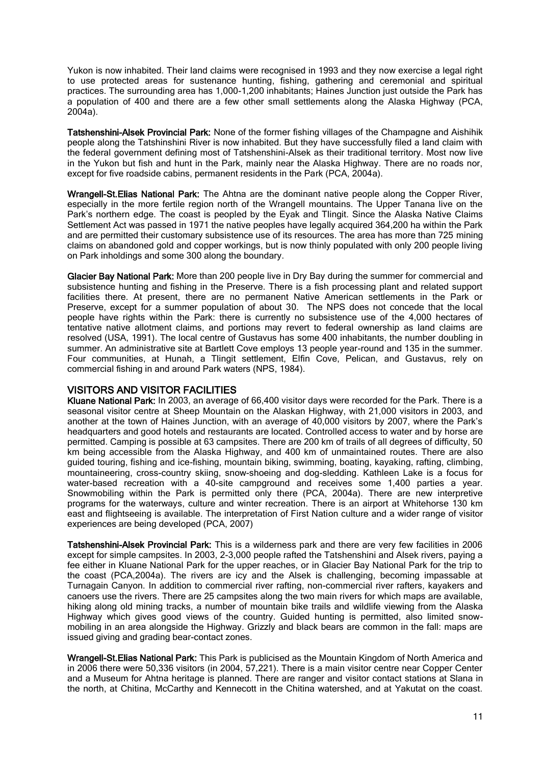Yukon is now inhabited. Their land claims were recognised in 1993 and they now exercise a legal right to use protected areas for sustenance hunting, fishing, gathering and ceremonial and spiritual practices. The surrounding area has 1,000-1,200 inhabitants; Haines Junction just outside the Park has a population of 400 and there are a few other small settlements along the Alaska Highway (PCA, 2004a).

Tatshenshini-Alsek Provincial Park: None of the former fishing villages of the Champagne and Aishihik people along the Tatshinshini River is now inhabited. But they have successfully filed a land claim with the federal government defining most of Tatshenshini-Alsek as their traditional territory. Most now live in the Yukon but fish and hunt in the Park, mainly near the Alaska Highway. There are no roads nor, except for five roadside cabins, permanent residents in the Park (PCA, 2004a).

Wrangell-St.Elias National Park: The Ahtna are the dominant native people along the Copper River, especially in the more fertile region north of the Wrangell mountains. The Upper Tanana live on the Park's northern edge. The coast is peopled by the Eyak and Tlingit. Since the Alaska Native Claims Settlement Act was passed in 1971 the native peoples have legally acquired 364,200 ha within the Park and are permitted their customary subsistence use of its resources. The area has more than 725 mining claims on abandoned gold and copper workings, but is now thinly populated with only 200 people living on Park inholdings and some 300 along the boundary.

Glacier Bay National Park: More than 200 people live in Dry Bay during the summer for commercial and subsistence hunting and fishing in the Preserve. There is a fish processing plant and related support facilities there. At present, there are no permanent Native American settlements in the Park or Preserve, except for a summer population of about 30. The NPS does not concede that the local people have rights within the Park: there is currently no subsistence use of the 4,000 hectares of tentative native allotment claims, and portions may revert to federal ownership as land claims are resolved (USA, 1991). The local centre of Gustavus has some 400 inhabitants, the number doubling in summer. An administrative site at Bartlett Cove employs 13 people year-round and 135 in the summer. Four communities, at Hunah, a Tlingit settlement, Elfin Cove, Pelican, and Gustavus, rely on commercial fishing in and around Park waters (NPS, 1984).

## VISITORS AND VISITOR FACILITIES

Kluane National Park: In 2003, an average of 66,400 visitor days were recorded for the Park. There is a seasonal visitor centre at Sheep Mountain on the Alaskan Highway, with 21,000 visitors in 2003, and another at the town of Haines Junction, with an average of 40,000 visitors by 2007, where the Park's headquarters and good hotels and restaurants are located. Controlled access to water and by horse are permitted. Camping is possible at 63 campsites. There are 200 km of trails of all degrees of difficulty, 50 km being accessible from the Alaska Highway, and 400 km of unmaintained routes. There are also guided touring, fishing and ice-fishing, mountain biking, swimming, boating, kayaking, rafting, climbing, mountaineering, cross-country skiing, snow-shoeing and dog-sledding. Kathleen Lake is a focus for water-based recreation with a 40-site campground and receives some 1,400 parties a year. Snowmobiling within the Park is permitted only there (PCA, 2004a). There are new interpretive programs for the waterways, culture and winter recreation. There is an airport at Whitehorse 130 km east and flightseeing is available. The interpretation of First Nation culture and a wider range of visitor experiences are being developed (PCA, 2007)

Tatshenshini-Alsek Provincial Park: This is a wilderness park and there are very few facilities in 2006 except for simple campsites. In 2003, 2-3,000 people rafted the Tatshenshini and Alsek rivers, paying a fee either in Kluane National Park for the upper reaches, or in Glacier Bay National Park for the trip to the coast (PCA,2004a). The rivers are icy and the Alsek is challenging, becoming impassable at Turnagain Canyon. In addition to commercial river rafting, non-commercial river rafters, kayakers and canoers use the rivers. There are 25 campsites along the two main rivers for which maps are available, hiking along old mining tracks, a number of mountain bike trails and wildlife viewing from the Alaska Highway which gives good views of the country. Guided hunting is permitted, also limited snowmobiling in an area alongside the Highway. Grizzly and black bears are common in the fall: maps are issued giving and grading bear-contact zones.

Wrangell-St. Elias National Park: This Park is publicised as the Mountain Kingdom of North America and in 2006 there were 50,336 visitors (in 2004, 57,221). There is a main visitor centre near Copper Center and a Museum for Ahtna heritage is planned. There are ranger and visitor contact stations at Slana in the north, at Chitina, McCarthy and Kennecott in the Chitina watershed, and at Yakutat on the coast.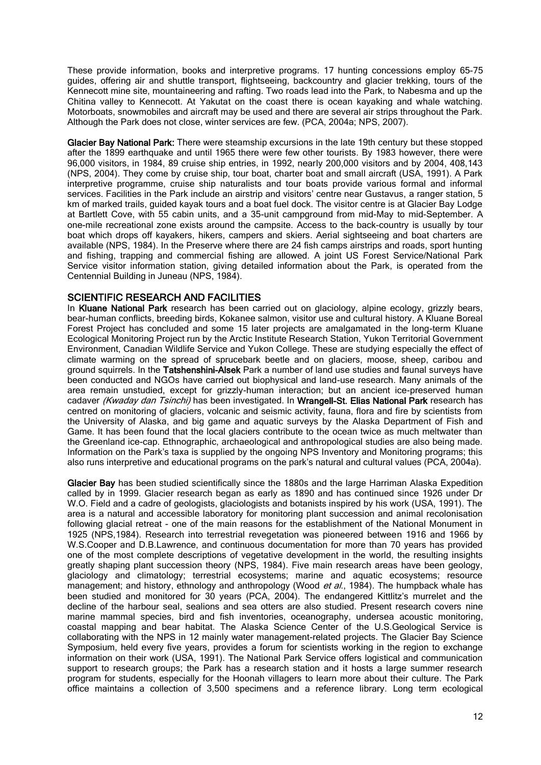These provide information, books and interpretive programs. 17 hunting concessions employ 65-75 guides, offering air and shuttle transport, flightseeing, backcountry and glacier trekking, tours of the Kennecott mine site, mountaineering and rafting. Two roads lead into the Park, to Nabesma and up the Chitina valley to Kennecott. At Yakutat on the coast there is ocean kayaking and whale watching. Motorboats, snowmobiles and aircraft may be used and there are several air strips throughout the Park. Although the Park does not close, winter services are few. (PCA, 2004a; NPS, 2007).

Glacier Bay National Park: There were steamship excursions in the late 19th century but these stopped after the 1899 earthquake and until 1965 there were few other tourists. By 1983 however, there were 96,000 visitors, in 1984, 89 cruise ship entries, in 1992, nearly 200,000 visitors and by 2004, 408,143 (NPS, 2004). They come by cruise ship, tour boat, charter boat and small aircraft (USA, 1991). A Park interpretive programme, cruise ship naturalists and tour boats provide various formal and informal services. Facilities in the Park include an airstrip and visitors' centre near Gustavus, a ranger station, 5 km of marked trails, guided kayak tours and a boat fuel dock. The visitor centre is at Glacier Bay Lodge at Bartlett Cove, with 55 cabin units, and a 35-unit campground from mid-May to mid-September. A one-mile recreational zone exists around the campsite. Access to the back-country is usually by tour boat which drops off kayakers, hikers, campers and skiers. Aerial sightseeing and boat charters are available (NPS, 1984). In the Preserve where there are 24 fish camps airstrips and roads, sport hunting and fishing, trapping and commercial fishing are allowed. A joint US Forest Service/National Park Service visitor information station, giving detailed information about the Park, is operated from the Centennial Building in Juneau (NPS, 1984).

## SCIENTIFIC RESEARCH AND FACILITIES

In Kluane National Park research has been carried out on glaciology, alpine ecology, grizzly bears, bear-human conflicts, breeding birds, Kokanee salmon, visitor use and cultural history. A Kluane Boreal Forest Project has concluded and some 15 later projects are amalgamated in the long-term Kluane Ecological Monitoring Project run by the Arctic Institute Research Station, Yukon Territorial Government Environment, Canadian Wildlife Service and Yukon College. These are studying especially the effect of climate warming on the spread of sprucebark beetle and on glaciers, moose, sheep, caribou and ground squirrels. In the Tatshenshini-Alsek Park a number of land use studies and faunal surveys have been conducted and NGOs have carried out biophysical and land-use research. Many animals of the area remain unstudied, except for grizzly-human interaction; but an ancient ice-preserved human cadaver (Kwaday dan Tsinchi) has been investigated. In Wrangell-St. Elias National Park research has centred on monitoring of glaciers, volcanic and seismic activity, fauna, flora and fire by scientists from the University of Alaska, and big game and aquatic surveys by the Alaska Department of Fish and Game. It has been found that the local glaciers contribute to the ocean twice as much meltwater than the Greenland ice-cap. Ethnographic, archaeological and anthropological studies are also being made. Information on the Park's taxa is supplied by the ongoing NPS Inventory and Monitoring programs; this also runs interpretive and educational programs on the park's natural and cultural values (PCA, 2004a).

Glacier Bay has been studied scientifically since the 1880s and the large Harriman Alaska Expedition called by in 1999. Glacier research began as early as 1890 and has continued since 1926 under Dr W.O. Field and a cadre of geologists, glaciologists and botanists inspired by his work (USA, 1991). The area is a natural and accessible laboratory for monitoring plant succession and animal recolonisation following glacial retreat - one of the main reasons for the establishment of the National Monument in 1925 (NPS,1984). Research into terrestrial revegetation was pioneered between 1916 and 1966 by W.S.Cooper and D.B.Lawrence, and continuous documentation for more than 70 years has provided one of the most complete descriptions of vegetative development in the world, the resulting insights greatly shaping plant succession theory (NPS, 1984). Five main research areas have been geology, glaciology and climatology; terrestrial ecosystems; marine and aquatic ecosystems; resource management; and history, ethnology and anthropology (Wood et al., 1984). The humpback whale has been studied and monitored for 30 years (PCA, 2004). The endangered Kittlitz's murrelet and the decline of the harbour seal, sealions and sea otters are also studied. Present research covers nine marine mammal species, bird and fish inventories, oceanography, undersea acoustic monitoring, coastal mapping and bear habitat. The Alaska Science Center of the U.S.Geological Service is collaborating with the NPS in 12 mainly water management-related projects. The Glacier Bay Science Symposium, held every five years, provides a forum for scientists working in the region to exchange information on their work (USA, 1991). The National Park Service offers logistical and communication support to research groups; the Park has a research station and it hosts a large summer research program for students, especially for the Hoonah villagers to learn more about their culture. The Park office maintains a collection of 3,500 specimens and a reference library. Long term ecological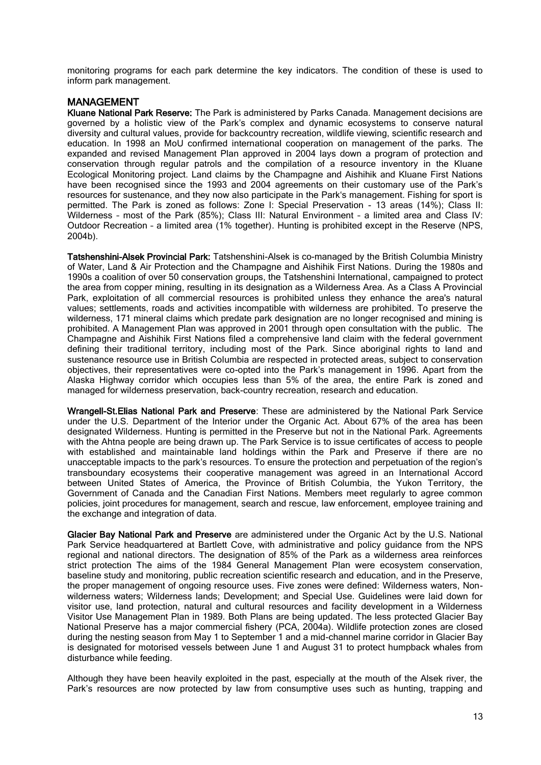monitoring programs for each park determine the key indicators. The condition of these is used to inform park management.

## MANAGEMENT

Kluane National Park Reserve: The Park is administered by Parks Canada. Management decisions are governed by a holistic view of the Park's complex and dynamic ecosystems to conserve natural diversity and cultural values, provide for backcountry recreation, wildlife viewing, scientific research and education. In 1998 an MoU confirmed international cooperation on management of the parks. The expanded and revised Management Plan approved in 2004 lays down a program of protection and conservation through regular patrols and the compilation of a resource inventory in the Kluane Ecological Monitoring project. Land claims by the Champagne and Aishihik and Kluane First Nations have been recognised since the 1993 and 2004 agreements on their customary use of the Park's resources for sustenance, and they now also participate in the Park's management. Fishing for sport is permitted. The Park is zoned as follows: Zone I: Special Preservation - 13 areas (14%); Class II: Wilderness – most of the Park (85%); Class III: Natural Environment – a limited area and Class IV: Outdoor Recreation – a limited area (1% together). Hunting is prohibited except in the Reserve (NPS, 2004b).

Tatshenshini-Alsek Provincial Park: Tatshenshini-Alsek is co-managed by the British Columbia Ministry of Water, Land & Air Protection and the Champagne and Aishihik First Nations. During the 1980s and 1990s a coalition of over 50 conservation groups, the Tatshenshini International, campaigned to protect the area from copper mining, resulting in its designation as a Wilderness Area. As a Class A Provincial Park, exploitation of all commercial resources is prohibited unless they enhance the area's natural values; settlements, roads and activities incompatible with wilderness are prohibited. To preserve the wilderness, 171 mineral claims which predate park designation are no longer recognised and mining is prohibited. A Management Plan was approved in 2001 through open consultation with the public. The Champagne and Aishihik First Nations filed a comprehensive land claim with the federal government defining their traditional territory, including most of the Park. Since aboriginal rights to land and sustenance resource use in British Columbia are respected in protected areas, subject to conservation objectives, their representatives were co-opted into the Park's management in 1996. Apart from the Alaska Highway corridor which occupies less than 5% of the area, the entire Park is zoned and managed for wilderness preservation, back-country recreation, research and education.

Wrangell-St.Elias National Park and Preserve: These are administered by the National Park Service under the U.S. Department of the Interior under the Organic Act. About 67% of the area has been designated Wilderness. Hunting is permitted in the Preserve but not in the National Park. Agreements with the Ahtna people are being drawn up. The Park Service is to issue certificates of access to people with established and maintainable land holdings within the Park and Preserve if there are no unacceptable impacts to the park's resources. To ensure the protection and perpetuation of the region's transboundary ecosystems their cooperative management was agreed in an International Accord between United States of America, the Province of British Columbia, the Yukon Territory, the Government of Canada and the Canadian First Nations. Members meet regularly to agree common policies, joint procedures for management, search and rescue, law enforcement, employee training and the exchange and integration of data.

Glacier Bay National Park and Preserve are administered under the Organic Act by the U.S. National Park Service headquartered at Bartlett Cove, with administrative and policy guidance from the NPS regional and national directors. The designation of 85% of the Park as a wilderness area reinforces strict protection The aims of the 1984 General Management Plan were ecosystem conservation, baseline study and monitoring, public recreation scientific research and education, and in the Preserve, the proper management of ongoing resource uses. Five zones were defined: Wilderness waters, Nonwilderness waters; Wilderness lands; Development; and Special Use. Guidelines were laid down for visitor use, land protection, natural and cultural resources and facility development in a Wilderness Visitor Use Management Plan in 1989. Both Plans are being updated. The less protected Glacier Bay National Preserve has a major commercial fishery (PCA, 2004a). Wildlife protection zones are closed during the nesting season from May 1 to September 1 and a mid-channel marine corridor in Glacier Bay is designated for motorised vessels between June 1 and August 31 to protect humpback whales from disturbance while feeding.

Although they have been heavily exploited in the past, especially at the mouth of the Alsek river, the Park's resources are now protected by law from consumptive uses such as hunting, trapping and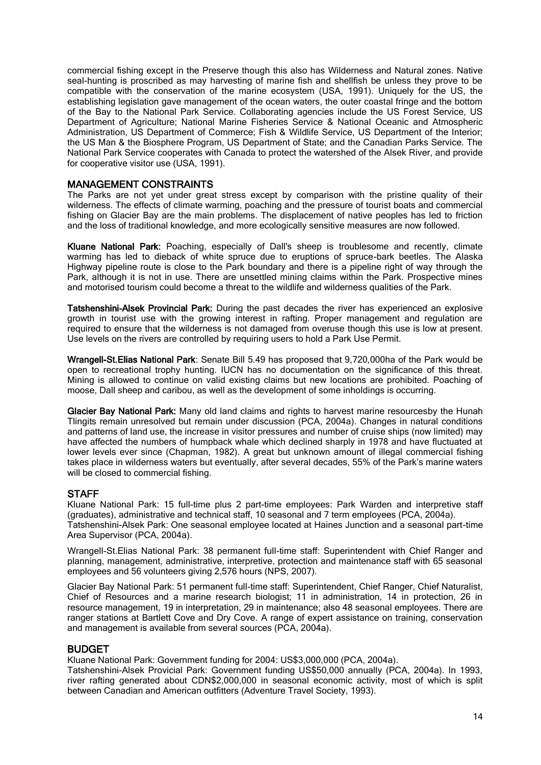commercial fishing except in the Preserve though this also has Wilderness and Natural zones. Native seal-hunting is proscribed as may harvesting of marine fish and shellfish be unless they prove to be compatible with the conservation of the marine ecosystem (USA, 1991). Uniquely for the US, the establishing legislation gave management of the ocean waters, the outer coastal fringe and the bottom of the Bay to the National Park Service. Collaborating agencies include the US Forest Service, US Department of Agriculture; National Marine Fisheries Service & National Oceanic and Atmospheric Administration, US Department of Commerce; Fish & Wildlife Service, US Department of the Interior; the US Man & the Biosphere Program, US Department of State; and the Canadian Parks Service. The National Park Service cooperates with Canada to protect the watershed of the Alsek River, and provide for cooperative visitor use (USA, 1991).

## MANAGEMENT CONSTRAINTS

The Parks are not yet under great stress except by comparison with the pristine quality of their wilderness. The effects of climate warming, poaching and the pressure of tourist boats and commercial fishing on Glacier Bay are the main problems. The displacement of native peoples has led to friction and the loss of traditional knowledge, and more ecologically sensitive measures are now followed.

Kluane National Park: Poaching, especially of Dall's sheep is troublesome and recently, climate warming has led to dieback of white spruce due to eruptions of spruce-bark beetles. The Alaska Highway pipeline route is close to the Park boundary and there is a pipeline right of way through the Park, although it is not in use. There are unsettled mining claims within the Park. Prospective mines and motorised tourism could become a threat to the wildlife and wilderness qualities of the Park.

Tatshenshini-Alsek Provincial Park: During the past decades the river has experienced an explosive growth in tourist use with the growing interest in rafting. Proper management and regulation are required to ensure that the wilderness is not damaged from overuse though this use is low at present. Use levels on the rivers are controlled by requiring users to hold a Park Use Permit.

Wrangell-St.Elias National Park: Senate Bill 5.49 has proposed that 9,720,000ha of the Park would be open to recreational trophy hunting. IUCN has no documentation on the significance of this threat. Mining is allowed to continue on valid existing claims but new locations are prohibited. Poaching of moose, Dall sheep and caribou, as well as the development of some inholdings is occurring.

Glacier Bay National Park: Many old land claims and rights to harvest marine resourcesby the Hunah Tlingits remain unresolved but remain under discussion (PCA, 2004a). Changes in natural conditions and patterns of land use, the increase in visitor pressures and number of cruise ships (now limited) may have affected the numbers of humpback whale which declined sharply in 1978 and have fluctuated at lower levels ever since (Chapman, 1982). A great but unknown amount of illegal commercial fishing takes place in wilderness waters but eventually, after several decades, 55% of the Park's marine waters will be closed to commercial fishing.

## **STAFF**

Kluane National Park: 15 full-time plus 2 part-time employees: Park Warden and interpretive staff (graduates), administrative and technical staff, 10 seasonal and 7 term employees (PCA, 2004a). Tatshenshini-Alsek Park: One seasonal employee located at Haines Junction and a seasonal part-time Area Supervisor (PCA, 2004a).

Wrangell-St.Elias National Park: 38 permanent full-time staff: Superintendent with Chief Ranger and planning, management, administrative, interpretive, protection and maintenance staff with 65 seasonal employees and 56 volunteers giving 2,576 hours (NPS, 2007).

Glacier Bay National Park: 51 permanent full-time staff: Superintendent, Chief Ranger, Chief Naturalist, Chief of Resources and a marine research biologist; 11 in administration, 14 in protection, 26 in resource management, 19 in interpretation, 29 in maintenance; also 48 seasonal employees. There are ranger stations at Bartlett Cove and Dry Cove. A range of expert assistance on training, conservation and management is available from several sources (PCA, 2004a).

## BUDGET

Kluane National Park: Government funding for 2004: US\$3,000,000 (PCA, 2004a).

Tatshenshini-Alsek Provicial Park: Government funding US\$50,000 annually (PCA, 2004a). In 1993, river rafting generated about CDN\$2,000,000 in seasonal economic activity, most of which is split between Canadian and American outfitters (Adventure Travel Society, 1993).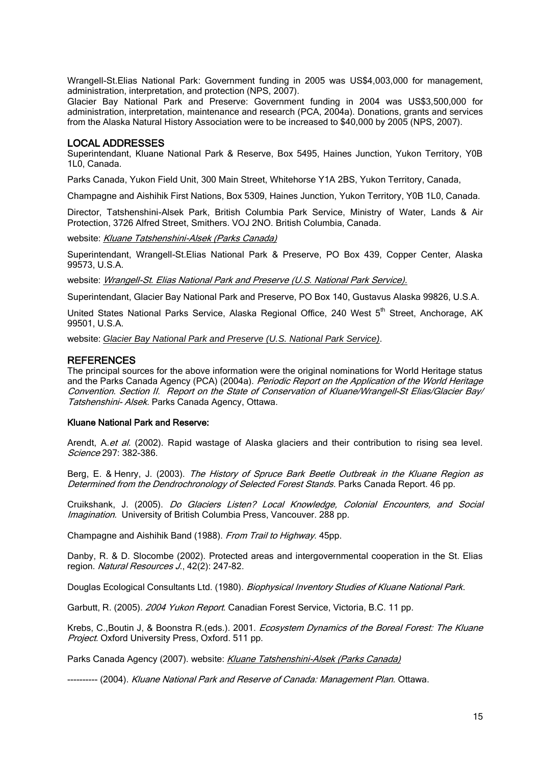Wrangell-St.Elias National Park: Government funding in 2005 was US\$4,003,000 for management, administration, interpretation, and protection (NPS, 2007).

Glacier Bay National Park and Preserve: Government funding in 2004 was US\$3,500,000 for administration, interpretation, maintenance and research (PCA, 2004a). Donations, grants and services from the Alaska Natural History Association were to be increased to \$40,000 by 2005 (NPS, 2007).

#### LOCAL ADDRESSES

Superintendant, Kluane National Park & Reserve, Box 5495, Haines Junction, Yukon Territory, Y0B 1L0, Canada.

Parks Canada, Yukon Field Unit, 300 Main Street, Whitehorse Y1A 2BS, Yukon Territory, Canada,

Champagne and Aishihik First Nations, Box 5309, Haines Junction, Yukon Territory, Y0B 1L0, Canada.

Director, Tatshenshini-Alsek Park, British Columbia Park Service, Ministry of Water, Lands & Air Protection, 3726 Alfred Street, Smithers. VOJ 2NO. British Columbia, Canada.

website: [Kluane Tatshenshini-Alsek \(Parks Canada\)](http://www.pc.gc.ca/progs/spm-whs/itm2-/site4_E.asp)

Superintendant, Wrangell-St.Elias National Park & Preserve, PO Box 439, Copper Center, Alaska 99573, U.S.A.

website: [Wrangell-St. Elias National Park and Preserve \(U.S. National Park Service\).](http://www.nps.gov/wrst/index.htm)

Superintendant, Glacier Bay National Park and Preserve, PO Box 140, Gustavus Alaska 99826, U.S.A.

United States National Parks Service, Alaska Regional Office, 240 West 5<sup>th</sup> Street, Anchorage, AK 99501, U.S.A.

website: *[Glacier Bay National Park and Preserve](http://www.pc.gc.ca/apps/links/goto_e.asp?destination=http://www.nps.gov/glba/) (U.S. National Park Service)*.

#### **REFERENCES**

The principal sources for the above information were the original nominations for World Heritage status and the Parks Canada Agency (PCA) (2004a). Periodic Report on the Application of the World Heritage Convention. Section II. Report on the State of Conservation of Kluane/Wrangell-St Elias/Glacier Bay/ Tatshenshini- Alsek. Parks Canada Agency, Ottawa.

#### Kluane National Park and Reserve:

Arendt, A. et al. (2002). Rapid wastage of Alaska glaciers and their contribution to rising sea level. Science 297: 382-386.

Berg, E. & Henry, J. (2003). The History of Spruce Bark Beetle Outbreak in the Kluane Region as Determined from the Dendrochronology of Selected Forest Stands. Parks Canada Report. 46 pp.

Cruikshank, J. (2005). Do Glaciers Listen? Local Knowledge, Colonial Encounters, and Social Imagination. University of British Columbia Press, Vancouver. 288 pp.

Champagne and Aishihik Band (1988). From Trail to Highway. 45pp.

Danby, R. & D. Slocombe (2002). Protected areas and intergovernmental cooperation in the St. Elias region. Natural Resources J., 42(2): 247-82.

Douglas Ecological Consultants Ltd. (1980). Biophysical Inventory Studies of Kluane National Park.

Garbutt, R. (2005). 2004 Yukon Report. Canadian Forest Service, Victoria, B.C. 11 pp.

Krebs, C.,Boutin J, & Boonstra R.(eds.). 2001. Ecosystem Dynamics of the Boreal Forest: The Kluane Project. Oxford University Press, Oxford. 511 pp.

Parks Canada Agency (2007). website: [Kluane Tatshenshini-Alsek \(Parks Canada\)](http://www.pc.gc.ca/progs/spm-whs/itm2-/site4_E.asp)

---------- (2004). Kluane National Park and Reserve of Canada: Management Plan. Ottawa.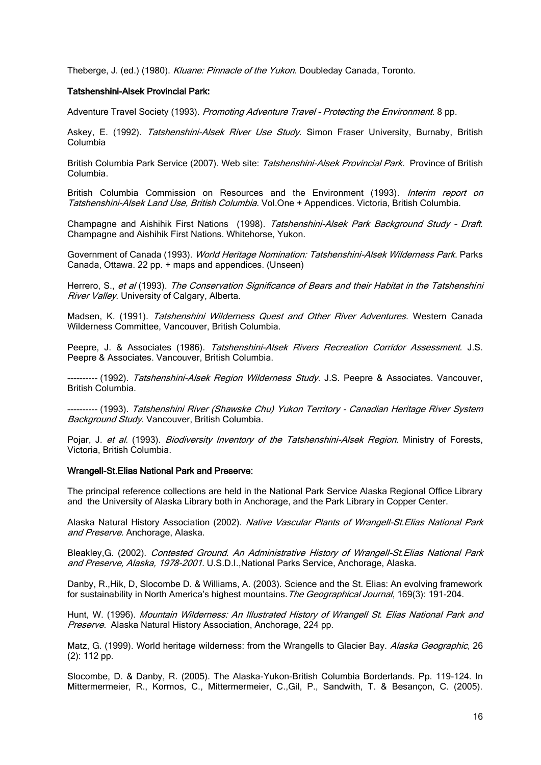Theberge, J. (ed.) (1980). Kluane: Pinnacle of the Yukon. Doubleday Canada, Toronto.

#### Tatshenshini-Alsek Provincial Park:

Adventure Travel Society (1993). Promoting Adventure Travel - Protecting the Environment. 8 pp.

Askey, E. (1992). Tatshenshini-Alsek River Use Study. Simon Fraser University, Burnaby, British Columbia

British Columbia Park Service (2007). Web site: [Tatshenshini-Alsek Provincial Park.](http://www.pc.gc.ca/apps/links/goto_e.asp?destination=http://wlapwww.gov.bc.ca/bcparks/explore/parkpgs/tatshen.htm) Province of British [Columbia.](http://www.pc.gc.ca/apps/links/goto_e.asp?destination=http://wlapwww.gov.bc.ca/bcparks/explore/parkpgs/tatshen.htm)

British Columbia Commission on Resources and the Environment (1993). Interim report on Tatshenshini-Alsek Land Use, British Columbia. Vol.One + Appendices. Victoria, British Columbia.

Champagne and Aishihik First Nations (1998). Tatshenshini-Alsek Park Background Study - Draft. Champagne and Aishihik First Nations. Whitehorse, Yukon.

Government of Canada (1993). World Heritage Nomination: Tatshenshini-Alsek Wilderness Park. Parks Canada, Ottawa. 22 pp. + maps and appendices. (Unseen)

Herrero, S., et al (1993). The Conservation Significance of Bears and their Habitat in the Tatshenshini River Valley. University of Calgary, Alberta.

Madsen, K. (1991). Tatshenshini Wilderness Quest and Other River Adventures. Western Canada Wilderness Committee, Vancouver, British Columbia.

Peepre, J. & Associates (1986). Tatshenshini-Alsek Rivers Recreation Corridor Assessment. J.S. Peepre & Associates. Vancouver, British Columbia.

---------- (1992). Tatshenshini-Alsek Region Wilderness Study. J.S. Peepre & Associates. Vancouver, British Columbia.

---------- (1993). Tatshenshini River (Shawske Chu) Yukon Territory - Canadian Heritage River System Background Study. Vancouver, British Columbia.

Pojar, J. et al. (1993). Biodiversity Inventory of the Tatshenshini-Alsek Region. Ministry of Forests, Victoria, British Columbia.

#### Wrangell-St.Elias National Park and Preserve:

The principal reference collections are held in the National Park Service Alaska Regional Office Library and the University of Alaska Library both in Anchorage, and the Park Library in Copper Center.

Alaska Natural History Association (2002). Native Vascular Plants of Wrangell-St. Elias National Park and Preserve. Anchorage, Alaska.

Bleakley, G. (2002). Contested Ground. An Administrative History of Wrangell-St. Elias National Park and Preserve, Alaska, 1978-2001. U.S.D.I., National Parks Service, Anchorage, Alaska.

Danby, R.,Hik, D, Slocombe D. & Williams, A. (2003). Science and the St. Elias: An evolving framework for sustainability in North America's highest mountains. The Geographical Journal, 169(3): 191-204.

Hunt, W. (1996). Mountain Wilderness: An Illustrated History of Wrangell St. Elias National Park and Preserve. Alaska Natural History Association, Anchorage, 224 pp.

Matz, G. (1999). World heritage wilderness: from the Wrangells to Glacier Bay. Alaska Geographic, 26 (2): 112 pp.

Slocombe, D. & Danby, R. (2005). The Alaska-Yukon-British Columbia Borderlands. Pp. 119-124. In Mittermermeier, R., Kormos, C., Mittermermeier, C.,Gil, P., Sandwith, T. & Besançon, C. (2005).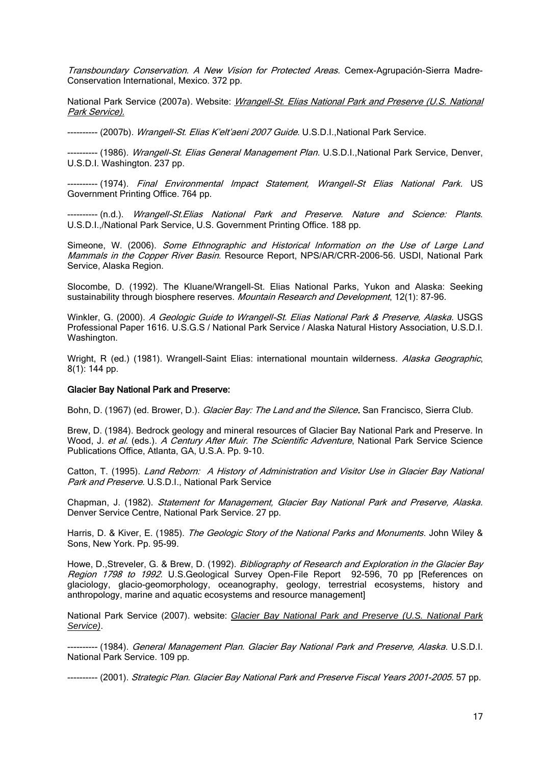Transboundary Conservation. A New Vision for Protected Areas. Cemex-Agrupación-Sierra Madre-Conservation International, Mexico. 372 pp.

National Park Service (2007a). Website: *Wrangell-St. Elias National Park and Preserve (U.S. National* [Park Service\).](http://www.nps.gov/wrst/index.htm)

---------- (2007b). Wrangell-St. Elias K'elt'aeni 2007 Guide. U.S.D.I., National Park Service.

---------- (1986). Wrangell-St. Elias General Management Plan. U.S.D.I., National Park Service, Denver, U.S.D.I. Washington. 237 pp.

---------- (1974). Final Environmental Impact Statement, Wrangell-St Elias National Park. US Government Printing Office. 764 pp.

--------- (n.d.). Wrangell-St. Elias National Park and Preserve. Nature and Science: Plants. U.S.D.I.,/National Park Service, U.S. Government Printing Office. 188 pp.

Simeone, W. (2006). Some Ethnographic and Historical Information on the Use of Large Land Mammals in the Copper River Basin. Resource Report, NPS/AR/CRR-2006-56. USDI, National Park Service, Alaska Region.

Slocombe, D. (1992). The Kluane/Wrangell-St. Elias National Parks, Yukon and Alaska: Seeking sustainability through biosphere reserves. Mountain Research and Development, 12(1): 87-96.

Winkler, G. (2000). A Geologic Guide to Wrangell-St. Elias National Park & Preserve, Alaska. [USGS](http://en.wikipedia.org/wiki/USGS) Professional Paper 1616. U.S.G.S / National Park Service / Alaska Natural History Association, U.S.D.I. Washington.

Wright, R (ed.) (1981). Wrangell-Saint Elias: international mountain wilderness. Alaska Geographic, 8(1): 144 pp.

#### Glacier Bay National Park and Preserve:

Bohn, D. (1967) (ed. Brower, D.). Glacier Bay: The Land and the Silence. San Francisco, Sierra Club.

Brew, D. (1984). Bedrock geology and mineral resources of Glacier Bay National Park and Preserve. In Wood, J. et al. (eds.). A Century After Muir. The Scientific Adventure, National Park Service Science Publications Office, Atlanta, GA, U.S.A. Pp. 9-10.

Catton, T. (1995). Land Reborn: A History of Administration and Visitor Use in Glacier Bay National Park and Preserve. U.S.D.I., National Park Service

Chapman, J. (1982). Statement for Management, Glacier Bay National Park and Preserve, Alaska. Denver Service Centre, National Park Service. 27 pp.

Harris, D. & Kiver, E. (1985). The Geologic Story of the National Parks and Monuments. John Wiley & Sons, New York. Pp. 95-99.

Howe, D., Streveler, G. & Brew, D. (1992). Bibliography of Research and Exploration in the Glacier Bay Region 1798 to 1992. U.S.Geological Survey Open-File Report 92-596, 70 pp [References on glaciology, glacio-geomorphology, oceanography, geology, terrestrial ecosystems, history and anthropology, marine and aquatic ecosystems and resource management]

National Park Service (2007). website: *[Glacier Bay National Park and Preserve](http://www.pc.gc.ca/apps/links/goto_e.asp?destination=http://www.nps.gov/glba/) (U.S. National Park Service)*.

------- (1984). *General Management Plan. Glacier Bay National Park and Preserve, Alaska*. U.S.D.I. National Park Service. 109 pp.

---------- (2001). Strategic Plan. Glacier Bay National Park and Preserve Fiscal Years 2001-2005. 57 pp.